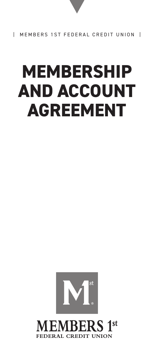# **MEMBERSHIP AND ACCOUNT AGREEMENT**



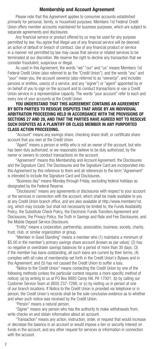#### Membership and Account Agreement

Please note that this Agreement applies to consumer accounts established primarily for personal, family, or household purposes. Members 1st Federal Credit Union offers member accounts maintained for business purposes, which are subject to separate agreements and disclosures.

 Any financial service or product offered by us may be used for any purpose permitted by law. You agree that illegal use of any financial service will be deemed an action of default or breach of contract. Use of any financial product or service in a manner not permitted by law may cause that service or related services to be terminated at our discretion. We reserve the right to decline any transaction that we consider fraudulent, suspicious or illegal.

As used in this Agreement, the words "we" "our" and "us" means Members 1st Federal Credit Union (also referred to as the "Credit Union"), and the words "you" and "your" mean you, the account owner(s) (also referred to as "owner(s)", and includes persons or entities, user(s) of a service, and any "signer") or "agent" appointed by or on behalf of you to sign on the account and to conduct transactions or use a Credit Union service in a representative capacity. The words "your account" refer to each and every one of your accounts at the Credit Union.

#### YOU UNDERSTAND THAT THIS AGREEMENT CONTAINS AN AGREEMENT BY BOTH PARTIES TO RESOLVE DISPUTES THAT ARISE BY AN INDIVIDUAL ARBITRATION PROCEEDING HELD IN ACCORDANCE WITH THE PROVISIONS OF SECTIONS 27 AND 28, AND THAT THE PARTIES HAVE AGREED NOT TO RESOLVE SUCH DISPUTES AS A PLAINTIFF OR CLASS MEMBER IN ANY PURPORTED CLASS ACTION PROCEEDING.

"Account" means any savings share, checking share draft, or certificate share account that you own at the Credit Union.

"Agent" means a person or entity who is not an owner of the account, but who has been duly authorized, or we reasonably believe to be duly authorized, by the owner or owners to conduct transactions on the account.

"Agreement" means this Membership and Account Agreement, the Disclosures and the Signature Card. The Disclosures and the Signature Card are incorporated into this Agreement by this reference to them and all references to the term "Agreement" is intended to include the Signature Card and Disclosures.

"Business day" means Monday through Friday, excluding federal holidays as designated by the Federal Reserve.

"Disclosures" means any agreements or disclosures with respect to your account or the services in connection with the account, which shall be made available to you at any Credit Union branch office, and are also available at http://www.members1st. org, which may include, but shall not necessarily be limited to, the Funds Availability Policy, the Substitute Check Policy, the Electronic Funds Transfers Agreement and Disclosures, the Privacy Policy, the Truth in Savings and Rate and Fee Disclosures, and the Mobile Deposit Service Disclosure.

 "Entity" means a corporation, partnership, association, business, society, charity, trust, club, or similar organization or group.

"Member in Good Standing" means a member who (1) maintains a minimum of \$5.00 in the member's primary savings share account (known as par value); (2) has no negative or overdrawn savings balances for a period of more than 30 days; (3) if the member has loans outstanding, all such loans are current by their terms; (4) complies with all rules of membership set forth in the Credit Union's Bylaws and in this Agreement; and (5) has not caused the Credit Union to suffer a loss.

"Notice to the Credit Union" means contacting the Credit Union by one of the following methods (unless the particular context requires a more specific method of notice): (a) by writing to us at PO Box 8893 Camp Hill, PA 17001; (b) by calling our Customer Service Team at (800) 237-7288; or (c) by visiting us in person at one of our branch locations. If Notice to the Credit Union is provided via telephone or in person, the Credit Union's records shall be the sole conclusive evidence as to whether and when such notice was received by the Credit Union.

"Person" means a natural person.

 "Signer" means any person who has the authority to make withdrawals from, write checks on and obtain information about an account.

 "Transaction" means any action, instruction, order, or request that would increase or decrease the balance in an account or would impose a lien or security interest on funds in the account, and any other request for services or information in connection with the account.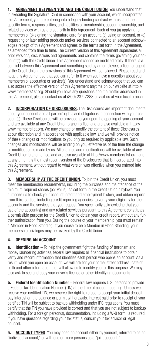1. AGREEMENT BETWEEN YOU AND THE CREDIT UNION. You understand that in executing the Signature Card in connection with your account, which incorporates this Agreement, you are entering into a legally binding contract with us, and the specific terms, responsibilities, and liabilities of membership, account ownership, and related services with us are set forth in this Agreement. Each of you (a) applying for membership, (b) signing the signature card for an account, (c) using an account, or (d) requesting or later adding products and/or services connected to an account acknowledges receipt of this Agreement and agrees to the terms set forth in the Agreement, as amended from time to time. The current version of this Agreement supersedes all prior versions, discussions and agreements and contains the terms governing your account(s) with the Credit Union. This Agreement cannot be modified orally. If there is a conflict between this Agreement and something said by an employee, officer, or agent of the Credit Union, the provisions of this Agreement will be followed. Please read and keep this Agreement so that you can refer to it when you have a question about your membership, account(s) or service(s). You understand and acknowledge that you can also access the effective version of this Agreement anytime on our website at http:// www.members1st.org. Should you have any questions about a matter addressed in this Agreement, please contact us at (800) 237-7288 or visit us at your local branch.

2. **INCORPORATION OF DISCLOSURES**. The Disclosures are important documents about your account and all parties' rights and obligations in connection with your account(s). These Disclosures will be provided to you upon the opening of your account and are available at any Credit Union branch office, and are also available at http:// www.members1st.org. We may change or modify the content of these Disclosures at our discretion and in accordance with applicable law, and we will provide notice of these changes or modifications to you only as required by applicable law. Such changes and modifications will be binding on you, effective as of the time the change or modification is made by us. All changes and modifications will be available at any Credit Union branch office, and are also available at http://www.members1st.org, and at any time, it is the most recent version of the Disclosures that is incorporated into this Agreement, without regard to what version was effective when you entered into this Agreement.

3. MEMBERSHIP AT THE CREDIT UNION. To join the Credit Union, you must meet the membership requirements, including the purchase and maintenance of the minimum required shares (par value), as set forth in the Credit Union's bylaws. You authorize us to check your account, credit and employment history, and obtain reports from third parties, including credit reporting agencies, to verify your eligibility for the accounts and the services that you request. You specifically acknowledge that your use of the account(s) and any related services pursuant to this Agreement constitutes a permissible purpose for the Credit Union to obtain your credit report, without any further authorization from you. During the course of your membership, you must remain a Member in Good Standing. If you cease to be a Member in Good Standing, your membership privileges may be revoked by the Credit Union.

# 4. OPENING AN ACCOUNT.

**a.** Identification – To help the government fight the funding of terrorism and money laundering activities, federal law requires all financial institutions to obtain, verify and record information that identifies each person who opens an account. As a result, when you open an account, we will ask for your name, street address, date of birth and other information that will allow us to identify you for this purpose. We may also ask to see and copy your driver's license or other identifying documents.

**b.** Federal Identification Number – Federal law requires U.S. persons to provide a Federal Tax Identification Number (TIN) at the time of account opening. Unless we receive your certified TIN, we reserve the right to refuse to accept your initial deposit, pay interest on the balance or permit withdrawals. Interest paid prior to receipt of your certified TIN will be subject to backup withholding under IRS regulations. You must certify that the TIN you have provided is correct and that you are not subject to backup withholding. For a foreign person(s), documentation, including a W-8 form, is required. If you have questions regarding your tax status, consult your tax advisor or legal counsel.

**5. ACCOUNT TYPES**. You may open an account either by yourself, referred to as an "individual account," or with one or more persons as a "joint account."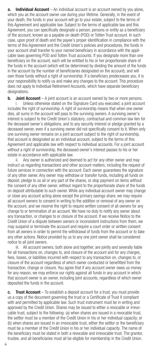a. Individual Account – An individual account is an account owned by you alone, which you as the account owner use during your lifetime. Generally, in the event of your death, the funds in your account will go to your estate, subject to the terms of this Agreement and applicable law. Subject to the terms of applicable law and this Agreement, you can specifically designate a person, persons or entity as a beneficiary of the account, known as a payable on death (POD) or Totten Trust account. In such case, upon proof of death and the payee's proper identification in compliance with the terms of this Agreement and the Credit Union's policies and procedures, the funds in your account shall transfer to your named beneficiary in accordance with the applicable laws governing POD and Totten Trust accounts. If you designate more than one beneficiary on the account, each will be entitled to his or her proportionate share of the funds in the account (which will be determined by dividing the amount of the funds in the account by the number of beneficiaries designated on the account), and will own those funds without a right of survivorship. If a beneficiary predeceases you, it is your responsibility to notify us and make any changes to the account. This procedure does not apply to Individual Retirement Accounts, which have separate beneficiary designations.

**b.** Joint Account  $- A$  joint account is an account owned by two or more persons.

i. Unless otherwise stated on the Signature Card you executed, a joint account includes the right of survivorship. A right of survivorship means that when one owner dies, all sums in the account will pass to the surviving owners. A surviving owner's interest is subject to the Credit Union's statutory, contractual and common law lien for the deceased owner's obligations, and to any security interest or pledge granted by a deceased owner, even if a surviving owner did not specifically consent to it. When only one surviving owner remains on a joint account subject to the right of survivorship, that account is designated as an individual account, subject to the terms of this Agreement and applicable law with respect to individual accounts. For a joint account without a right of survivorship, the deceased owner's interest passes to his or her estate in accordance with applicable law.

ii. Any owner is authorized and deemed to act for any other owner and may instruct us regarding transactions and other account matters, including the request of future services in connection with the account. Each owner guarantees the signature of any other owner. Any owner may withdraw or transfer funds, including all funds on deposit, pledge to us all or any part of the shares, or stop payment on items without the consent of any other owner, without regard to the proportionate share of the funds on deposit attributable to such owner. While any individual account owner may change or close any account acting alone except the primary savings share, we may require all account owners to consent in writing to the addition or removal of any owner on the account, and we reserve the right to require written consent of all owners for any change to or termination of an account. We have no duty to notify any owner about any transaction, or changes to or closure of the account. If we receive Notice to the Credit Union of a dispute between owners or inconsistent instructions from them, we may suspend or terminate the account and require a court order or written consent from all owners in order to permit the withdrawal of funds from the account or to take any other actions. Notice provided by us to any one joint owner shall be considered notice to all joint owners.

iii. All account owners, both alone and together, are jointly and severally liable for all transactions on, changes to, and closure of the account and for any charges, fees, losses, or liabilities incurred with respect to any transaction on, changes to, or closure of the account regardless of which owner conducted or benefitted from the transaction, change or closure. You agree that if any account owner owes us money for any reason, we may enforce our rights against all funds in any account in which that account owner is an owner, including joint accounts, regardless of which owner deposited the funds in the account.

**c.** Trust Account  $-$  To establish a deposit account for a trust, you must provide us a copy of the document governing the trust or a Certificate of Trust if compliant with and permitted by applicable law. Such trust instrument must be in writing and approved by the Credit Union. Shares may be issued to either a revocable or irrevocable trust, subject to the following: (a) when shares are issued in a revocable trust, the settlor must be a member of the Credit Union in his or her individual capacity; or (b) when shares are issued in an irrevocable trust, either the settlor or the beneficiary must be a member of the Credit Union in his or her individual capacity. The name of the beneficiary must be stated in both a revocable and irrevocable trust. The grantor, trustee, and all beneficiaries must all be eligible for membership in the Credit Union.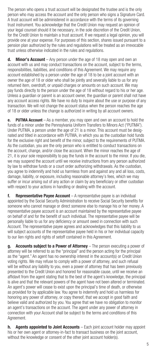The person who opens a trust account will be designated the trustee and is the only person who may access the account and the only person who signs a Signature Card. A trust account will be administered in accordance with the terms of its governing trust instrument. You acknowledge that the Credit Union may request an opinion of your legal counsel should it be necessary, in the sole discretion of the Credit Union, for the Credit Union to maintain a trust account. If we request a legal opinion, you will provide one at your expense. For purposes of this section, shares issued pursuant to a pension plan authorized by the rules and regulations will be treated as an irrevocable trust unless otherwise indicated in the rules and regulations.

**d.** Minor's Account – Any person under the age of 18 may open and own an account with us and may conduct transactions on the account, subject to the terms, responsibilities, liabilities, and conditions of this Agreement. We may require any account established by a person under the age of 18 to be a joint account with an owner the age of 18 or older who shall be jointly and severally liable to us for any returned item, overdraft, or unpaid charges or amounts on such account. We may pay funds directly to the person under the age of 18 without regard to his or her age. Unless a guardian or parent is an account owner, the guardian or parent shall not have any account access rights. We have no duty to inquire about the use or purpose of any transaction. We will not change the account status when the person reaches the age of 18 or older unless the change is authorized in writing by all account owners.

e. PUTMA Account – As a member, you may open and own an account to hold the funds of a minor under the Pennsylvania Uniform Transfers to Minors Act ("PUTMA"). Under PUTMA, a person under the age of 21 is a minor. This account must be designated and titled in accordance with PUTMA, in which you as the custodian hold funds for the exclusive right and benefit of the minor, subject to the requirements of PUTMA. As the custodian, you are the only person who is entitled to conduct transactions on the account, change, and/or close the account. When the minor reaches the age of 21, it is your sole responsibility to pay the funds in the account to the minor. If you die, we may suspend the account until we receive instructions from any person authorized by law to withdraw funds or a court order authorizing withdrawals. As the custodian, you agree to indemnify and hold us harmless from and against any and all loss, costs, damage, liability, or exposure, including reasonable attorney's fees, which we may suffer or incur arising out of any action or claim by any beneficiary or other custodian with respect to your actions in handling or dealing with the account.

f. Representative Payee Account - A representative payee is an individual appointed by the Social Security Administration to receive Social Security benefits for someone who cannot manage or direct someone else to manage his or her money. A representative payee account is an account maintained by the representative payee on behalf of and for the benefit of such individual. The representative payee will be personally liable to us for any deficiency or amount owed in connection with such Account. The representative payee agrees and acknowledges that this liability to us will subject accounts of the representative payee held in his or her individual capacity to our lien rights and rights of setoff contained in this Agreement.

g. Accounts subject to a Power of Attorney - The person executing a power of attorney will be referred to as the "principal" and the person acting for the principal as the "agent." An agent has no ownership interest in the account(s) or Credit Union voting rights. We may refuse to comply with a power of attorney, and such refusal will be without any liability to you, even a power of attorney that has been previously presented to the Credit Union and honored for reasonable cause, until we receive an affidavit from the agent stating that to the best of the agent's knowledge, the principal is alive and that the relevant powers of the agent have not been altered or terminated. An agent's power will cease to exist upon the principal's time of death, or otherwise as provided for by applicable law. You agree to indemnify and hold us harmless for honoring any power of attorney, or copy thereof, that we accept in good faith and believe valid and authorized by you. You agree that we have no obligation to monitor an agent's transactions on the account. The agent under any power of attorney in connection with your Account shall be subject to the terms and conditions of this Agreement.

h. Agents appointed to Joint Accounts – Each joint account holder may appoint his or her own agent or attorney-in-fact to transact business on the joint account, without the knowledge or consent of the other joint account holder(s).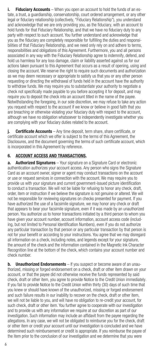i. Fiduciary Accounts – When you open an account to hold the funds of an estate, a trust, a guardianship, conservatorship, court ordered arrangement, or any other legal or fiduciary relationship (collectively, "Fiduciary Relationship"), you understand and acknowledge that we are only providing you, as the fiduciary, with an account to hold funds for that Fiduciary Relationship, and that we have no fiduciary duty to any party with respect to such account. You further understand and acknowledge that you as the fiduciary are completely responsible for fulfilling the duties and responsibilities of that Fiduciary Relationship, and we need only rely on and adhere to terms, responsibilities and obligations of this Agreement. Furthermore, you and all persons associated in any way with the Fiduciary Relationship agree to indemnify, defend, and hold us harmless for any loss damage, claim or liability asserted against us for our actions taken pursuant to this Agreement that occurs as a result of opening, using and closing the account. We reserve the right to require such documents and authorization as we may deem necessary or appropriate to satisfy us that you or any other person requesting or directing the withdrawal of funds held in the account have the authority to withdraw funds. We may require you to substantiate your authority to negotiate a check not specifically made payable to you before accepting it for deposit, and may require you to deposit the check into an account titled in the name of the payee. Notwithstanding the foregoing, in our sole discretion, we may refuse to take any action you request with respect to the account if we know or believe in good faith that you are breaching or otherwise violating your fiduciary duty with respect to the account, although we have no obligation whatsoever to independently investigate whether you are complying with your fiduciary duties related to the account.

j. Certificate Accounts – Any time deposit, term share, share certificate, or certificate account which we offer is subject to the terms of this Agreement, the Disclosures, and the document governing the terms of such certificate account, which is incorporated in this Agreement by reference.

## 6. ACCOUNT ACCESS AND TRANSACTIONS.

**a.** Authorized Signatures – Your signature on a Signature Card or electronic authentication authorizes your account access. Any person who signs the Signature Card as an account owner, signer or agent may conduct transactions on the account or use or request services in connection with the account. We may require you to provide us with your signature and current government-issued picture identification to conduct a transaction. We will not be liable for refusing to honor any check, draft, order, item or instruction if we believe the signature is not genuine or altered. We will not be responsible for reviewing signatures on checks presented for payment. If you have authorized the use of a facsimile signature, we may honor any check or draft that appears to bear your facsimile signature, even if it was made by an unauthorized person. You authorize us to honor transactions initiated by a third person to whom you have given your account number, account information, account access code (including, but not limited to Personal Identification Numbers), even if you do not authorize any particular transaction by that person or any particular transaction by that person is not for your benefit or according to your instructions. You agree that we may disregard all information on a check, including notes, and legends except for your signature, the amount of the check and the information contained in the Magnetic Ink Character Recognition line at the bottom of the check, which contains your account number and check number.

**b.** Unauthorized Endorsements – If you suspect or become aware of an unauthorized, missing or forged endorsement on a check, draft or other item drawn on your account, or that the payee did not otherwise receive the funds represented by said check, draft or other item, you agree to provide Notice to the Credit Union immediately. If you fail to provide Notice to the Credit Union within thirty (30) days of such time that you knew or should have known of the unauthorized, missing or forged endorsement and such failure results in our inability to recover on the check, draft or other item, we will not be liable to you, and will have no obligation to re-credit your account, for such check, draft or other item. You further agree to cooperate with our investigation and to provide us with any information we require at our discretion as part of our investigation. Such information may include an affidavit from the payee regarding the allegations. In any case, we will not be obligated to reimburse you for the check, draft or other item or credit your account until our investigation is concluded and we have determined such reimbursement or credit is appropriate. If you reimburse the payee of the item prior to the conclusion of our investigation and we determine that you were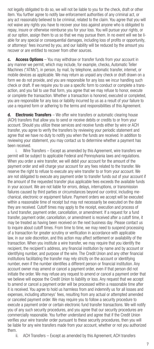not legally obligated to do so, we will not be liable to you for the check, draft or other item. You further agree to notify law enforcement authorities of any criminal act, or any act reasonably believed to be criminal, related to the claim. You agree that you will not waive any rights you have to recover your loss against anyone who is obligated to repay, insure or otherwise reimburse you for your loss. You will pursue your rights, or at our option, assign them to us so that we may pursue them. In no event will we be liable for any special or consequential damages, including loss of profits or opportunity, or attorneys' fees incurred by you, and our liability will be reduced by the amount you recover or are entitled to recover from other sources.

c. Access Options - You may withdraw or transfer funds from your account in any manner we permit, which may include, for example, checks, Automatic Teller Machines ("ATMs"), in person, by mail, by telephone, automatic transfer, internet, or mobile devices as applicable. We may return as unpaid any check or draft drawn on a form we do not provide, and you are responsible for any loss we incur handling such check or draft. If we require you to use a specific form to conduct or complete a transaction, and you fail to use that form, you agree that we may refuse to honor, execute or complete the transaction. Whether a transaction is honored, executed or completed, you are responsible for any loss or liability incurred by us as a result of your failure to use a required form or adhering to the terms and responsibilities of this Agreement.

d. Electronic Transfers – We offer wire transfers or automatic clearing house (ACH) transfers that allow you to send or receive debits or credits to or from your account. Should you utilize these services and receive funds either by wire or ACH transfer, you agree to verify the transfers by reviewing your periodic statement and agree that we have no duty to notify you when the funds are received. In addition to reviewing your statement, you may contact us to determine whether a payment has been received.

i. Wire Transfers – Except as amended by this Agreement, wire transfers we permit will be subject to applicable Federal and Pennsylvania laws and regulations. When you order a wire transfer, we will debit your account for the amount of the payment order and will charge your account for any fees related to the transfer. We reserve the right to refuse to execute any wire transfer to or from your account. We are not obligated to execute any payment order to transfer funds out of your account if the amount of the requested transfer plus applicable fees exceeds the available funds in your account. We are not liable for errors, delays, interruptions, or transmission failures caused by third parties or circumstances beyond our control, including mechanical, electronic or equipment failure. Payment orders we accept will be executed within a reasonable time of receipt but may not necessarily be executed on the date they are received. Cutoff times may apply to the receipt, execution and process of a fund transfer, payment order, cancellation, or amendment. If a request for a fund transfer, payment order, cancellation, or amendment is received after a cutoff time, it may be treated as having been received on the next business day. Please contact us to inquire about cutoff times. From time to time, we may need to suspend processing of a transaction for greater scrutiny or verification in accordance with applicable law, in our sole discretion, and this action may affect settlement or availability of the transaction. When you institute a wire transfer, we may require that you identify the recipient, the recipient's address, any financial institution by name and by account or identifying number, and purpose of the wire. The Credit Union and any other financial institutions facilitating the transfer may rely strictly on the account or identifying number, even if the number identifies a different person or financial institution. Any account owner may amend or cancel a payment order, even if that person did not initiate the order. We may refuse any request to amend or cancel a payment order that we believe will expose the Credit Union to liability or loss. Any request that we accept to amend or cancel a payment order will be processed within a reasonable time after it is received. You agree to hold us harmless from and indemnify us for all losses and expenses, including attorneys' fees, resulting from any actual or attempted amended or canceled payment order. We may require you to follow a security procedure to execute a payment order or certain electronic fund transfer transactions. We will notify you of any such security procedures, and you agree that our security procedures are commercially reasonable. You further understand and agree that if the Credit Union verifies your wire transfer order pursuant to these security procedures, then you will be liable for any wire transfers made from your account, whether or not you authorized them.<br>ii

ACH Transfers – Except as amended by this Agreement, ACH transfers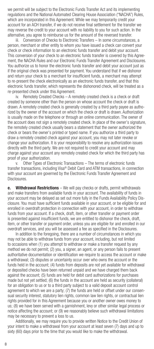we permit will be subject to the Electronic Funds Transfer Act and its implementing regulations and the National Automated Clearing House Association ("NACHA") Rules, which are incorporated in this Agreement. While we may temporarily credit your account for an ACH transfer, if we do not receive final settlement for the transfer we may reverse the credit to your account with no liability to you for such action. In the alternative, you agree to reimburse us for the amount of the reversed transfer.

iii. Conversion of Checks to Electronic Transfers - In some circumstances, a person, merchant or other entity to whom you have issued a check can convert your check or check information to an electronic funds transfer and debit your account. This conversion of your check to an electronic funds transfer is covered by this Agreement, the NACHA Rules and our Electronic Funds Transfer Agreement and Disclosures. You authorize us to honor the electronic funds transfer and debit your account just as if the original check was presented for payment. You understand that if we dishonor and return your check to a merchant for insufficient funds, a merchant may attempt to re-present the check electronically as an electronic funds transfer, and that this electronic funds transfer, which represents the dishonored check, will be treated as a re-presented check under this Agreement. 

iv. Remotely Created Checks - A remotely created check is a check or draft created by someone other than the person on whose account the check or draft is drawn. A remotely created check is generally created by a third party payee as authorized by the owner of the account on which the check or draft is drawn. Authorization is usually made on the telephone or through an online communication. The owner of the account does not sign a remotely created check. In place of the owner's signature, the remotely created check usually bears a statement that the owner authorized the check or bears the owner's printed or typed name. If you authorize a third party to draw a remotely created check against your account, you may not later revoke or change your authorization. It is your responsibility to resolve any authorization issues directly with the third party. We are not required to credit your account and may charge against your account any remotely created check for which the third party has proof of your authorization.

v. Other Types of Electronic Transactions – The terms of electronic funds transfer transactions, including Visa® Debit Card and ATM transactions, in connection with your account are governed by the Electronic Funds Transfer Agreement and Disclosures.

e. Withdrawal Restrictions - We will pay checks or drafts, permit withdrawals and make transfers from available funds in your account. The availability of funds in your account may be delayed as set out more fully in the Funds Availability Policy Disclosure. You must have sufficient funds available in your account, or be eligible for and enrolled in overdraft protection in connection with your account, in order to withdraw funds from your account. If a check, draft, item, or other transfer or payment order is presented against insufficient funds, we are entitled to dishonor the check, draft, item, or other transfer or payment order, unless you are eligible for and enrolled in our overdraft services, and you will be assessed a fee as specified in the Disclosures.

In addition to the foregoing, there are a number of circumstances in which you may not be able to withdraw funds from your account, including, but not limited to occasions when (1) you attempt to withdraw or make a transfer request by any method we do not permit; (2) you, a signer, an agent, or any person fails to present authoritative documentation or identification we require to access the account or make a withdrawal; (3) disputes or uncertainty occur over who owns the account or the funds held in the account; (4) funds from deposits are not yet available for withdrawal or deposited checks have been returned unpaid and we have charged them back against the account; (5) funds are held for debit card authorizations for purchases made but not yet settled; (6) the funds in the account are held as security (collateral) for an obligation to us or to a third party subject to a valid deposit account control agreement to which we are a party; (7) the funds are held or offset under our consensual security interest, statutory lien rights, common law lien rights, or contractual lien rights provided for in this Agreement because you or another owner owes money to us; (8) we have been served with a garnishment, levy or other similar legal process or notice affecting the account; or (9) we reasonably believe such withdrawal limitations may be necessary to prevent a loss to us.

 Additionally, we may require you to provide written Notice to the Credit Union of your intent to make a withdrawal from your account at least seven (7) days and up to sixty (60) days prior to the time that you would like to make the withdrawal.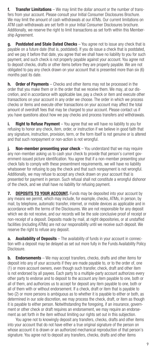f. Transfer Limitations - We may limit the dollar amount or the number of transfers from your account. Please consult your Initial Consumer Disclosures Brochure. We may limit the amount of cash withdrawals at our ATMs. Our current limitations on ATM cash withdrawals are set forth in your Initial Consumer Disclosures brochure. Additionally, we reserve the right to limit transactions as set forth within this Membership Agreement.

g. Postdated and Stale Dated Checks - You agree not to issue any check that is payable on a future date (that is, postdated). If you do issue a check that is postdated, and we pay it before that date, you agree that we shall have no liability to you for such payment, and such check is not properly payable against your account. You agree not to deposit checks, drafts or other items before they are properly payable. We are not obligated to pay any check drawn on your account that is presented more than six (6) months past its date.

**h.** Order of Payments – Checks and other items may not be processed in the order that you make them or in the order that we receive them. We may, at our discretion, and in accordance with applicable law, pay a check or item and execute other transactions on your account in any order we choose. The order in which we process checks or items and execute other transactions on your account may affect the total amount of overdraft fees that may be charged to your account. Please contact us if you have questions about how we pay checks and process transfers and withdrawals.

i. Right to Refuse Payment - You agree that we will have no liability to you for refusing to honor any check, item, order, or instruction if we believe in good faith that any signature, instruction, provision, term, or the form itself is not genuine or is altered and that such nonpayment or non-action is not wrongful.

**Non-member presenting your check** – You understand that we may require any non-member asking us to cash your check to provide that person's current government-issued picture identification. You agree that if a non-member presenting your check fails to comply with these presentment requirements, we will have no liability whatsoever for refusing to pay the check and that such nonpayment is not wrongful. Additionally, we may refuse to accept any check drawn on your account that is presented for payment in person. Such refusal shall not constitute a wrongful dishonor of the check, and we shall have no liability for refusing payment.

**7. DEPOSITS TO YOUR ACCOUNT.** Funds may be deposited into your account by any means we permit, which may include, for example, checks, ATMs, in person, by mail, by telephone, automatic transfer, internet, or mobile devices as applicable and in accordance with the terms of the Disclosures. We are not responsible for any deposit which we do not receive, and our records will be the sole conclusive proof of receipt or non-receipt of a deposit. Deposits made by mail, at night depositories, or at unstaffed facilities (including ATMs) are not our responsibility until we receive such deposit. We reserve the right to refuse any deposit.

a. Availability of Deposits - The availability of funds in your account in connection with a deposit may be delayed as set out more fully in the Funds Availability Policy Disclosure.

**b.** Endorsements – We may accept transfers, checks, drafts and other items for deposit into any of your accounts if they are made payable to, or to the order of, one (1) or more account owners, even though such transfer, check, draft and other item is not endorsed by all payees. Each party to a multiple-party account authorizes every other party to endorse and to deposit to the account any item payable to one, both or all of them, and authorizes us to accept for deposit any item payable to one, both or all of them with or without endorsement. If a check, draft or item that is payable to two (2) or more persons is ambiguous as to whether it is payable to either or both, as determined in our sole discretion, we may process the check, draft, or item as though it is payable to either person. Notwithstanding the foregoing, if an insurance, government or other check or draft requires an endorsement, we may require an endorsement as set forth in the item without limiting our rights set out in this subjection.

 You agree not to knowingly deposit any transfers, checks, drafts and other items into your account that do not have either a true original signature of the person on whose account it is drawn or an authorized mechanical reproduction of that person's signature. You agree not to deposit any transfers, checks, drafts and other items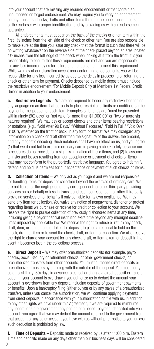into your account that are missing any required endorsement or that contain an unauthorized or forged endorsement. We may require you to verify an endorsement on any transfers, checks, drafts and other items through the appearance in person of the endorser with proper identification and by providing us with an endorsement guarantee.

 All endorsements must appear on the back of the checks or other item within the first 1½ inches from the left side of the check or other item. You are also responsible to make sure at the time you issue any check that the format is such that there will be no writing whatsoever on the reverse side of the check placed beyond an area located 1½ inches from the left edge of the check when looking at it from the front. It is your responsibility to ensure that these requirements are met and you are responsible for any loss incurred by us for failure of an endorsement to meet this requirement. While we may at our discretion accept non-conforming endorsements, you will be responsible for any loss incurred by us due to the delay in processing or returning the check or other item for payment. Checks deposited by mobile deposit must include the restrictive endorsement "For Mobile Deposit Only at Members 1st Federal Credit Union" in addition to your endorsement.

c. Restrictive Legends – We are not required to honor any restrictive legends or any language on an item that purports to place restrictions, limits or conditions on the payment or negotiation of such item. Examples of legends are "must be presented within ninety (90) days" or "not valid for more than \$1,000.00" or "two or more signatures required". We may pay or accept checks and other items bearing restrictions or notations (e.g., "Void After 90 Days," "Without Recourse," "Paid in Full," "Void Over \$100"), whether on the front or back, in any form or format. We may disregard any information on a check or draft other than the signature of the drawer, the amount, and any magnetic encoding. Such notations shall have no effect on us, and you agree (1) that we do not fail to exercise ordinary care in paying a check solely because our procedures do not provide for a sight examination of these items, and (2) to assume all risks and losses resulting from our acceptance or payment of checks or items that may not conform to the purportedly restrictive language. You agree to indemnify, defend and hold us harmless for our acceptance or payment of such checks or items.

**d. Collection of Items** – We only act as your agent and we are not responsible for handling items for deposit or collection beyond the exercise of ordinary care. We are not liable for the negligence of any correspondent (or other third party providing services on our behalf) or loss in transit, and each correspondent or other third party providing services on or behalf will only be liable for its own negligence. We may send any item for collection. You waive any notice of nonpayment, dishonor or protest regarding items we purchase or receive for credit or collection to your account. We reserve the right to pursue collection of previously dishonored items at any time, including giving a payor financial institution extra time beyond any midnight deadline limits imposed by applicable law. We reserve the right to refuse or return any check, draft, item, or funds transfer taken for deposit, to place a reasonable hold on the check, draft, or item or to send the check, draft, or item for collection. We also reserve the right to charge your account for any check, draft, or item taken for deposit in the event it becomes lost in the collections process.

e. Direct Deposit - We may offer preauthorized deposits (for example, payroll checks, Social Security or retirement checks, or other government checks) or preauthorized transfers from other accounts. You must authorize direct deposits or preauthorized transfers by enrolling with the initiator of the deposit. You must notify us at least thirty (30) days in advance to cancel or change a direct deposit or transfer option. If your account is overdrawn, you authorize us to deduct the amount your account is overdrawn from any deposit, including deposits of government payments or benefits. Upon a bankruptcy filing (either by you or by any payee of a preauthorized transfer), unless you cancel the authorization, we will continue applying payments from direct deposits in accordance with your authorization on file with us. In addition to any other rights we have under this Agreement, if we are required to reimburse any federal or state government any portion of a benefit payment deposited into your account, you agree that we may deduct the amount returned to the government from that account or any other account you have with us without prior notice to you, unless such deduction is prohibited by law.

f. Time of Deposits – Deposits made or received by us after  $11:00$  p.m. Eastern Time and deposits made on any days other than our business days will be considered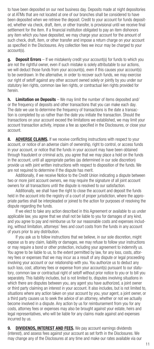to have been deposited on our next business day. Deposits made at night depositories or at ATMs that are not located at one of our branches shall be considered to have been deposited when we retrieve the deposit. Credit to your account for funds deposited, whether via check, draft, item, or other transfer, is provisional until we receive final settlement for the item. If a financial institution obligated to pay an item dishonors any item which you have deposited, we may charge your account for the amount of such check, draft, item, or other transfer and impose a return charge on your account as specified in the Disclosures. Any collection fees we incur may be charged to your account(s).

g. Deposit Errors – If we mistakenly credit your account(s) for funds to which you are not the rightful owner, even if such mistake is solely attributable to our actions. we will deduct those funds from your account(s), even if this causes your account(s) to be overdrawn. In the alternative, in order to recover such funds, we may exercise our right of setoff against any other account owned solely or jointly by you under our statutory lien rights, common law lien rights, or contractual lien rights provided for herein.

h. Limitation on Deposits – We may limit the number of items deposited and/ or the frequency of deposits and other transactions that you can make each day. The date we use to determine the frequency of transactions is the date a transaction is completed by us rather than the date you initiate the transaction. Should the transactions on your account exceed the limitations we established, we may limit your account transaction activity, impose a fee as specified in the Disclosures, or close your account.

8. ADVERSE CLAIMS. If we receive conflicting instructions with respect to your account, or notice of an adverse claim of ownership, right to control, or access funds in your account, or notice that the funds in your account may have been obtained through fraudulent or criminal acts, you agree that we may place a hold on the funds in the account, until all appropriate parties (as determined in our sole discretion) provide us with joint written instructions with respect to disposition of the funds. We are not required to determine if the dispute has merit.

 Additionally, if we receive Notice to the Credit Union indicating a dispute between two or more joint account owners, we may require the signature of all joint account owners for all transactions until the dispute is resolved to our satisfaction.

 Additionally, we shall have the right to close the account and deposit the funds held in the account into the registry of a court of proper jurisdiction, where the appropriate parties shall be interpleaded or joined to the action for purposes of resolving the dispute regarding the funds.

 If we elect to take any action described in this Agreement or available to us under applicable law, you agree that we shall not be liable to you for damages of any kind, and you agree to pay and reimburse us for our reasonable costs and expenses including, without limitation, attorneys' fees and court costs from the funds in any account of yours prior to any distribution.

 If you ask us to follow instructions that we believe, in our sole discretion, might expose us to any claim, liability or damages, we may refuse to follow your instructions or may require a bond or other protection, including your agreement to indemnify us. You agree to be liable to us, to the extent permitted by law, for any loss, costs, attorney fees or expenses that we may incur as a result of any dispute or legal proceeding involving your account or our relationship with you. You authorize us to deduct any such loss, cost, attorney fees or expense from your account(s) pursuant to our statutory, common law or contractual right of setoff without prior notice to you or to bill you separately. This liability includes, but is not limited to, disputes involving situations in which there are disputes between you, any agent you have authorized, a joint owner or third party claiming an interest in your account. It also includes, but is not limited to, situations where any action taken on your account by you, your agent, a joint owner, or a third party causes us to seek the advice of an attorney, whether or not we actually become involved in a dispute. Any action by us for reimbursement from you for any costs, attorney fees or expenses may also be brought against your estate, heirs and legal representatives, who will be liable for any claims made against and expenses incurred by us.

9. DIVIDENDS, INTEREST AND FEES. We pay account earnings dividends (interest), and assess fees against your account as set forth in the Disclosures. We may change any of the Disclosures at any time and make our rates available via our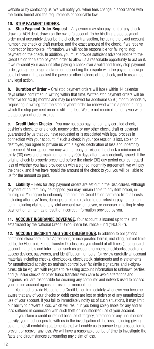website or by contacting us. We will notify you when fees change in accordance with the terms hereof and the requirements of applicable law.

## 10. STOP PAYMENT ORDERS.

a. Stop Payment Order Request - Any owner may stop payment of any check drawn or ACH debit drawn on the owner's account. To be binding, a stop payment order must accurately describe the check, or transaction, including the exact account number, the check or draft number, and the exact amount of the check. If we receive incorrect or incomplete information, we will not be responsible for failing to stop payment on the check. In addition, you must provide sufficient advance Notice to the Credit Union for a stop payment order to allow us a reasonable opportunity to act on it. If we re-credit your account after paying a check over a valid and timely stop payment order, you agree to sign a statement describing the dispute with the payee, to assign us all of your rights against the payee or other holders of the check, and to assign us any legal action.

**b.** Duration of Order – Oral stop payment orders will lapse within 14 calendar days unless confirmed in writing within that time. Written stop payment orders will be effective for six (6) months and may be renewed for additional six (6) month periods by requesting in writing that the stop payment order be renewed within a period during which the stop payment order is still in effect. We are not required to notify you when a stop payment order expires.

c. Credit Union Checks - You may not stop payment on any certified check, cashier's check, teller's check, money order, or any other check, draft or payment guaranteed by us that you have requested or is associated with legal process in connection with your account. If such a check in your possession is lost, stolen or destroyed, you agree to provide us with a signed declaration of loss and indemnity agreement. At our option, we may wait to repay or reissue the check a minimum of thirty (30) days and a maximum of ninety (90) days after it was originally issued. If the original check is properly presented before the ninety (90) day period expires, regardless of whether you have provided us with a signed indemnity agreement, we will pay the check, and if we have repaid the amount of the check to you, you will be liable to us for the amount so paid.

d. Liability – Fees for stop payment orders are set out in the Disclosures. Although payment of an item may be stopped, you may remain liable to any item holder, including us. You agree to indemnify and hold the Credit Union harmless from all costs, including attorneys' fees, damages or claims related to our refusing payment on an item, including claims of any joint account owner, payee, or endorser in failing to stop payment on an item as a result of incorrect information provided by you.

11. ACCOUNT INSURANCE COVERAGE. Your account is insured up to the limit established by the National Credit Union Share Insurance Fund ("NCUSIF").

12. ACCOUNT SECURITY AND YOUR OBLIGATIONS. In addition to obligations contained elsewhere in this Agreement, or incorporated herein, including, but not limited to, the Electronic Funds Transfer Disclosures, you should at all times (a) safeguard account materials and information such as account numbers, checkbooks, electronic access devices, passwords, and identification numbers; (b) review carefully all account materials including checks, checkbooks, check stock, statements and e-statements for unauthorized activity; (c) maintain control over facsimile signatures and e-signatures; (d) be vigilant with regards to releasing account information to unknown parties; and (e) issue checks or other funds transfers with care to avoid alterations and forgeries. You are responsible for securing any computer and network used to access your online account against intrusion or manipulation.

 You must provide Notice to the Credit Union immediately whenever you become aware that any of your checks or debit cards are lost or stolen or of any unauthorized use of your account. If you fail to immediately notify us of such situations, it may limit our ability to prevent a loss, which will result in you being solely liable for any and all loss suffered in connection with such theft or unauthorized use of your account.

If you claim a credit or refund because of forgery, alteration or any unauthorized activity, you must cooperate with us in the investigation of the loss, including giving us an affidavit containing statements that will enable us to pursue legal prosecution to prevent or recover any loss. We will have a reasonable period of time to investigate the facts and circumstances surrounding any claim of loss.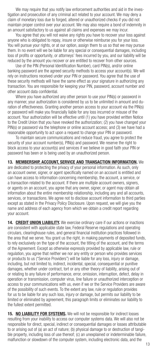We may require that you notify law enforcement authorities and aid in the investigation and prosecution of any criminal act related to your account. We may deny a claim of monetary loss due to forged, altered or unauthorized checks if you did not maintain proper control over your account. We may also require a bond of indemnity in an amount satisfactory to us against all claims and expenses we may incur.

 You agree that you will not waive any rights you have to recover your loss against anyone who is obligated to repay, insure or otherwise reimburse you for your loss. You will pursue your rights, or at our option, assign them to us so that we may pursue them. In no event will we be liable for any special or consequential damages, including loss of profits or opportunity, or attorneys' fees incurred by you, and our liability will be reduced by the amount you recover or are entitled to recover from other sources.

 Use of the PIN (Personal Identification Number), card PIN(s), and/or online banking password are the agreed security methods to access your account(s). We will rely on instructions received under your PIN or password. You agree that the use of these security methods will have the same effect as your signature in authorizing any transaction. You are responsible for keeping your PIN, password, account number and other account data confidential.

 Where you have authorized any other person to use your PIN(s) or password in any manner, your authorization is considered by us to be unlimited in amount and duration of effectiveness. Granting another person access to your account via the PIN(s) or password will make you financially liable for any loss incurred or misuse of the account. Your authorization will be effective until (1) you have provided written Notice to the Credit Union that you have revoked the authorization; (2) you have changed your PIN(s) or password via the telephone or online account access; and (3) we have had a reasonable opportunity to act upon a request to change your PIN or password.

 To maintain secure communications and reduce fraud, you agree to protect the security of your account number(s), PIN(s) and password. We reserve the right to block access to your account(s) and services if we believe in good faith your PIN or password has been or is being used by an unauthorized person.

13. MEMBERSHIP, ACCOUNT, SERVICE AND TRANSACTION INFORMATION. We are dedicated to protecting the privacy of your personal information. As such, only an account owner, signer, or agent specifically named on an account is entitled and can have access to information concerning membership, the account, a service, or a transaction related to the account. If there are multiple account owners, signers, or agents on an account, you agree that any owner, signer, or agent may obtain all information about the entire membership relationship, including any and all accounts, services, or transactions. We agree not to disclose account information to third parties except as stated in the Privacy Policy Disclosure. Upon request, we will give you the name and address of each agency from which we obtain a credit report regarding your account.

14. CREDIT UNION LIABILITY. We exercise ordinary care if our actions or inactions are consistent with applicable state law, Federal Reserve regulations and operating circulars, clearinghouse rules, and general financial institution practices followed in the area that we serve. You grant us the right, in making payments of deposited funds, to rely exclusively on the type of the account, the titling of the account, and the terms of the Agreement. Except as otherwise expressly provided by applicable law, rule or regulation, you agree that neither we nor any entity or person who provides services or products to us ("Service Providers") will be liable for any loss, injury or damage, including, but not limited to, indirect, incidental, special, consequential or punitive damages, whether under contract, tort or any other theory of liability, arising out of or relating to any failure of performance, error, omission, interruption, defect, delay in operation or transmission, computer virus, line failure or unauthorized interception or access to your communications with us, even if we or the Service Providers are aware of the possibility of such events. To the extent any law, rule or regulation provides for us to be liable for any such loss, injury or damage, but permits our liability to be limited or eliminated by agreement, this paragraph limits or eliminates our liability to the fullest extent permitted.

15. NO LIABILITY FOR SYSTEMS. We will not be responsible for indirect losses resulting from your inability to access our computer systems data. We will also not be responsible for direct, special, indirect or consequential damages or losses attributable to or arising out of (a) an act of nature; (b) physical damage to or destruction of tangible property, including loss of use thereof; (c) an unexplained or indeterminable failure, malfunction or slowdown of the computer system, including electronic data, and the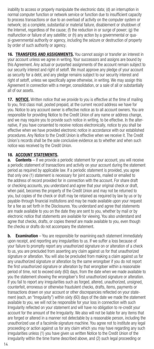inability to access or properly manipulate the electronic data; (d) an interruption in normal computer function or network service or function due to insufficient capacity to process transactions or due to an overload of activity on the computer system or network; (e) a complete, substantial or material failure, disablement or shutdown of the Internet, regardless of the cause; (f) the reduction in or surge of power; (g) the malfunction or failure of any satellite; or (h) any action by a governmental or quasi-governmental authority or agency, including the seizure or destruction of property by order of such authority or agency.

16. TRANSFERS AND ASSIGNMENTS. You cannot assign or transfer an interest in your account unless we agree in writing. Your successors and assigns are bound by this Agreement. Any actual or purported assignments of the account remain subject to our security interest and right of setoff. We must approve any pledge of your account as security for a debt, and any pledge remains subject to our security interest and right of setoff, unless we specifically agree otherwise, in writing. We may assign this Agreement in connection with a merger, consolidation, or a sale of all or substantially all of our assets.

**17. NOTICE.** Written notice that we provide to you is effective at the time of mailing to you, first class mail, posted prepaid, at the current record address we have for you. Notice to any account owner is effective notice as to all account owners. You are responsible for providing Notice to the Credit Union of any name or address change, and we may require you to provide such notice in writing, to be effective. In the alternative, if you have consented to receive notices electronically, notice to you shall be effective when we have provided electronic notice in accordance with our established procedures. Any Notice to the Credit Union is effective when we receive it. The Credit Union's records shall be the sole conclusive evidence as to whether and when such notice was received by the Credit Union.

## 18. ACCOUNT STATEMENTS.

**a.** Contents – If we provide a periodic statement for your account, you will receive a periodic statement of transactions and activity on your account during the statement period as required by applicable law. If a periodic statement is provided, you agree that only one (1) statement is necessary for joint accounts, mailed or emailed to the address of record provided for in connection with the account. For share draft or checking accounts, you understand and agree that your original check or draft, when paid, becomes the property of the Credit Union and may not be returned to you, but copies of the check or draft may be retained as required by law by us or by payable-through financial institutions and may be made available upon your request for a fee as set forth in the Disclosures. You understand and agree that statements are made available to you on the date they are sent to you, whether by mail or by electronic notice that statements are available for viewing. You also understand and agree that checks, drafts, or copies thereof are made available to you, even though the checks or drafts do not accompany the statement.

**b.** Examination – You are responsible for examining each statement immediately upon receipt, and reporting any irregularities to us. If we suffer a loss because of your failure to promptly report any unauthorized signature on or alteration of a check to us, you are precluded from asserting any claim against us for that unauthorized signature or alteration. You will also be precluded from making a claim against us for any unauthorized signature or alteration by the same wrongdoer if you do not report the first unauthorized signature or alteration by that wrongdoer within a reasonable period of time, not to exceed sixty (60) days, from the date when we made available to you the statement showing the wrongdoer's first unauthorized signature or alteration. If you fail to report any irregularities such as forged, altered, unauthorized, unsigned, counterfeit, erroneous or otherwise fraudulent checks, drafts, items, payments or transactions drawn on your account or other discrepancies reflected on your statement (each, an "Irregularity") within sixty (60) days of the date we made the statement available to you, we will not be responsible for your loss in connection with such Irregularity reflected on your statement and will have no obligation to re-credit your account for the amount of the Irregularity. We also will not be liable for any items that are forged or altered in a manner not detectable by a reasonable person, including the unauthorized use of a facsimile signature machine. You agree not to institute any legal proceeding or action against us for any claim which you may have regarding any such irregularities unless (1) you have given us written Notice to the Credit Union of the irregularity within the time frame described above, and (2) such legal proceeding or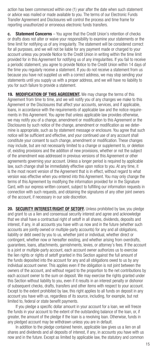action has been commenced within one (1) year after the date when such statement or advice was mailed or made available to you. The terms of our Electronic Funds Transfer Agreement and Disclosures will control the process and time frame for reporting unauthorized or erroneous electronic funds transfers.

**c.** Statement Concerns – You agree that the Credit Union's retention of checks or drafts does not alter or waive your responsibility to examine your statements or the time limit for notifying us of any irregularity. The statement will be considered correct for all purposes, and we will not be liable for any payment made or charged to your account unless you provide Notice to the Credit Union in writing within the time limit provided for in this Agreement for notifying us of any irregularities. If you fail to receive a periodic statement, you agree to provide Notice to the Credit Union within 14 days of the time you regularly receive a statement. If you do not receive a statement from us because you have not supplied us with a correct address, we may stop sending your statements until you supply us with a proper address, and we will have no liability to you for such failure to provide a statement.

19. MODIFICATION OF THIS AGREEMENT. We may change the terms of this Agreement from time to time, and we will notify you of any changes we make to this Agreement or the Disclosures that affect your accounts, services, and if applicable, loans, in accordance with the requirements of applicable law and the notice requirements in this Agreement. You agree that unless applicable law provides otherwise, we may notify you of a change, amendment or modification to this Agreement or the Disclosures by such notice of the change, amendment or modification as we determine is appropriate, such as by statement message or enclosure. You agree that such notice will be sufficient and effective, and your continued use of any account shall constitute your consent to such change, amendment or modification. These changes may include, but are not necessarily limited to a change or supplement to, or deletion of, existing provisions and the addition of new provisions, whether or not the subject of the amendment was addressed in previous versions of this Agreement or other agreements governing your account. Unless a longer period is required by applicable law, such change shall be immediately effective upon notice to you. At any time, it is the most recent version of the Agreement that is in effect, without regard to what version was effective when you entered into this Agreement. You may only change the terms of this Agreement by modifying the information provided for in the Signature Card, with our express written consent, subject to fulfilling our information requests in connection with such requests, and obtaining the signatures of any other joint owners of the account, if necessary in our sole discretion.

20. SECURITY INTEREST/RIGHT OF SETOFF. Unless prohibited by law, you pledge and grant to us a lien and consensual security interest and agree and acknowledge that we shall have a contractual right of setoff in all shares, dividends, deposits and interest, if any, in all accounts you have with us now and in the future (whether such accounts are jointly owned or multiple-party accounts) for any and all obligations, liability or debt owed by you to us, whether joint or individual, whether direct or contingent, whether now or hereafter existing, and whether arising from overdrafts, guarantees, loans, attachments, garnishments, levies, or attorney's fees. If the account is a joint or multiple-party account, each account owner authorizes us to exercise the lien rights or rights of setoff granted in this Section against the full amount of the funds deposited into the account for any and all obligations owed to us by any individual account owner. This applies even if the obligation is not joint between the owners of the account, and without regard to the proportion to the net contributions by each account owner to the sum on deposit. We may exercise the rights granted under this Section without liability to you, even if it results in an interest penalty or dishonor of subsequent checks, drafts, transfers and other items with respect to your account. Except to the extent prohibited by law, this right applies to all funds on deposit in any account you have with us, regardless of its source, including, for example, but not limited to, federal or state benefit payments.

 If you pledge a specific dollar amount in your account for a loan, we will freeze the funds in your account to the extent of the outstanding balance of the loan, or, if greater, the amount of the pledge if the loan is a revolving loan. Otherwise, funds in any pledged account may be withdrawn unless you are in default.

 In addition to the pledge contained herein, applicable law gives us a lien on all shares and dividends and all deposits of interest, if any, in accounts you have with us now and in the future. Except as limited by applicable law, the statutory and common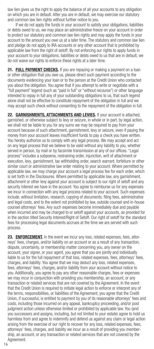law lien gives us the right to apply the balance of all your accounts to any obligation on which you are in default. After you are in default, we may exercise our statutory and common law lien rights without further notice to you.

If we do not apply the funds in your account to satisfy your obligations, liabilities or debts owed to us, we may place an administrative freeze on your account in order to protect our statutory and common law lien rights and may apply the funds in your account to the amount you owe us at a later time. The statutory and common law lien and pledge do not apply to IRA accounts or any other account that is prohibited by applicable law from the right of setoff. By not enforcing our rights to apply funds in your account to your obligations, liabilities or debts owed to us that are in default, we do not waive our rights to enforce these rights at a later time.

21. FULL PAYMENT CHECKS. If you are repaying or making a payment on a loan or other obligation that you owe us, please direct such payment according to the documents evidencing your loan or to the person at the Credit Union who contacted you about the obligation. You agree that if you attempt to write or negotiate with a "full payment" legend (such as "paid in full" or "without recourse") or other language intended to repay in full any of your outstanding obligations to us, that such legend alone shall not be effective to constitute repayment of the obligation in full and we may accept such check without consenting to the repayment of the obligation in full.

22. GARNISHMENTS, ATTACHMENTS AND LEVIES. If your account is attached, garnished, or otherwise subject to levy or seizure, in whole or in part, by legal action, we shall not be liable to you for any sums we may be required to pay from your account because of such attachment, garnishment, levy or seizure, even if paying the money from your account leaves insufficient funds to pay a check you have written. You hereby authorize us to comply with any legal process. We may accept and act on any legal process that we believe to be valid without any liability to you, whether served in person, by mail or by facsimile transmission at any of our offices. "Legal process" includes a subpoena, restraining order, injunction, writ of attachment or execution, levy, garnishment, tax withholding order, search warrant, forfeiture or other similar court or administrative law order relating to your account. Where permitted by applicable law, we may charge your account a legal process fee for each order, which is set forth in the Disclosures. Where permitted by applicable law, any garnishment, attachment or other levy against your account is subject to our right of setoff and any security interest we have in the account. You agree to reimburse us for any expenses we incur in connection with any legal process related to your account. Such expenses include, without limitation, research, copying of documents, filing fees, administrative and legal costs, and to the extent not prohibited by law, outside counsel and in-house counsel attorneys' fees. Any such expenses become immediately due and payable when incurred and may be charged to or setoff against your accounts, as provided for in the section titled Security Interest/Right of Setoff. Our right of setoff for the standard fees for processing legal documents accrues at the time we are served with such process.

23. **ENFORCEMENT.** In the event we incur any loss, related expenses, fees, attorneys' fees, charges, and/or liability on an account or as a result of any transaction, dispute, uncertainty, or membership matter concerning you, any owner on the account, your signer, or your agent, you agree that you are jointly and individually liable to us for the full repayment of that loss, related expenses, fees, attorneys' fees, charges, and liability. You agree that we may deduct any loss, related expenses, fees, attorneys' fees, charges, and/or liability from your account without notice to you. Additionally, you agree to pay any other reasonable charges, fees or expenses we may incur in conjunction with providing you membership, an account, or any transaction or related services that are not covered by the Agreement. In the event that the Credit Union is required to initiate legal action to enforce or interpret any of the terms, responsibilities, or liabilities of the Agreement, you agree that the Credit Union, if successful, is entitled to payment by you of its reasonable attorneys' fees and costs, including those incurred on any appeal, bankruptcy proceeding, and/or post judgment action unless otherwise limited or prohibited by applicable law. You (and you successors and assigns, including, but not limited to your estate) agree to hold us harmless from and agree to indemnify and defend us against any claim or legal action arising from the exercise of our right to recover for any loss, related expenses, fees, attorneys' fees, charges, and liability we incur as a result of providing you membership, an account, or any transaction or related services that are not covered by the Agreement.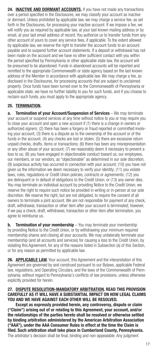24. INACTIVE AND DORMANT ACCOUNTS. If you have not made any transactions over a period specified in the Disclosures, we may classify your account as inactive or dormant. Unless prohibited by applicable law, we may charge a service fee, as set forth in the Disclosures, for processing your inactive account. If we impose a fee, we will notify you as required by applicable law, at your last known mailing address or by email, at your last email address of record. You authorize us to transfer funds from any other account of yours to cover any service fees, if applicable. To the extent allowed by applicable law, we reserve the right to transfer the account funds to an account payable and to suspend further account statements. If a deposit or withdrawal has not been made on the account and we have no other sufficient contact with you within the period specified by Pennsylvania or other applicable state law, the account will be presumed to be abandoned. Funds in abandoned accounts will be reported and remitted to the appropriate Commonwealth or state agency based on the last known address of the Member in accordance with applicable law. We may charge a fee, as disclosed in the Disclosures, for processing accounts that are subject to unclaimed property. Once funds have been turned over to the Commonwealth of Pennsylvania or applicable state, we have no further liability to you for such funds, and if you choose to reclaim such funds, you must apply to the appropriate agency.

## 25. TERMINATION.

a. Termination of your Account/Suspension of Services - We may terminate your account or suspend services at any time without notice to you or may require you to close your account and open a new account if (1) there is a change in owners or authorized signers; (2) there has been a forgery or fraud reported or committed involving your account; (3) there is a dispute as to the ownership of the account or of the funds in the account; (4) any checks are lost or stolen; (5) there are excessive return unpaid checks, drafts, items or transactions; (6) there has been any misrepresentation or any other abuse of your account; (7) we reasonably deem it necessary to prevent a loss to us; (8) you have engaged in objectionable conduct toward us, our employees, our members, or our vendors, as "objectionable" as determined in our sole discretion; (9) suspicious activity has occurred in connection with your account; (10) you have not given us the information we deem necessary to verify your identity; (11) you violate laws, rules, regulations or Credit Union policies, contracts or agreements; (12) you are delinquent or in default of obligations to the Credit Union; or (13) any owner dies. You may terminate an individual account by providing Notice to the Credit Union; we reserve the right to require such notice be provided in writing or in-person at our sole discretion. We reserve the right, but are not obligated, to require the consent of all owners to terminate a joint account. We are not responsible for payment of any check, draft, withdrawal, transaction or other item after your account is terminated; however, if we pay a check, draft, withdrawal, transaction or other item after termination, you agree to reimburse us.

**b.** Termination of your membership - You may terminate your membership by providing Notice to the Credit Union, or by withdrawing your minimum required membership shares and closing all your accounts. We may unilaterally terminate your membership (and all accounts and services) for causing a loss to the Credit Union, by violating this Agreement, for any of the reasons listed in Subsection (a) of this Section, or for any reason as permitted by applicable law.

26. APPLICABLE LAW. Your account, this Agreement and the interpretation of this Agreement are governed by and construed pursuant to our Bylaws, applicable Federal law, regulations, and Operating Circulars, and the laws of the Commonwealth of Pennsylvania, without regard to Pennsylvania's conflicts of law provisions, unless otherwise explicitly provided for herein.

## 27. DISPUTE RESOLUTION-MANDATORY ARBITRATION. READ THIS PROVISION CAREFULLY AS IT WILL HAVE A SUBSTANTIAL IMPACT ON HOW LEGAL CLAIMS YOU AND WE HAVE AGAINST EACH OTHER WILL BE RESOLVED.

Except as expressly provided herein, any controversy, dispute or claim ("Claim") arising out of or relating to this Agreement, your account, and/or the relationships of the parties hereto shall be resolved or otherwise settled by binding arbitration administered by the American Arbitration Association ("AAA"), under the AAA Consumer Rules in effect at the time the Claim is filed. Such arbitration shall take place in Cumberland County, Pennsylvania. The arbitrator's decision shall be final, binding and non-appealable. Any judgment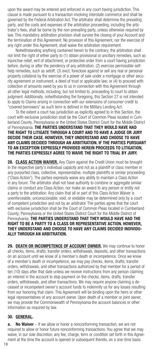upon the award may be entered and enforced in any court having jurisdiction. This clause is made pursuant to a transaction involving interstate commerce and shall be governed by the Federal Arbitration Act. The arbitrator shall determine the prevailing party, and the costs and expenses of the arbitration proceeding, including the arbitrator's fees, shall be borne by the non-prevailing party, unless otherwise required by law. This mandatory arbitration provision shall survive the closing of your Account and the termination of this Agreement. No provision of this Agreement, nor the exercise of any right under this Agreement, shall waive the arbitration requirement.

Notwithstanding anything contained herein to the contrary, the arbitration shall not limit the right of either party to (1) obtain provisional or ancillary remedies, such as injunctive relief, writ of attachment, or protective order from a court having jurisdiction before, during or after the pendency of any arbitration; (2) exercise permissible selfhelp remedies, such as setoff; (3) evict, foreclose against or sell any real or personal property collateral by the exercise of a power of sale under a mortgage or other security agreement or instrument, a deed of trust or applicable law; or (4) to proceed with collection of amounts owed by you to us in connection with this Agreement through all other legal methods, including, but not limited to, proceeding to court to obtain judgment. Additionally, notwithstanding the foregoing, this Section 27 is not intended to apply to Claims arising in connection with our extensions of consumer credit to "covered borrowers" as such term is defined in the Military Lending Act.

 To the extent a court has jurisdiction as explicitly agreed to in this Section, the court with exclusive jurisdiction shall be the Court of Common Pleas located in Cumberland County, Pennsylvania or the United States District Court for the Middle District of Pennsylvania. THE PARTIES UNDERSTAND THAT THEY WOULD HAVE HAD THE RIGHT TO LITIGATE THROUGH A COURT AND TO HAVE A JUDGE OR JURY DECIDE THEIR CASE. HOWEVER, THEY UNDERSTAND AND CHOOSE TO HAVE ANY CLAIMS DECIDED THROUGH AN ARBITRATION. IF THE PARTIES PURSUANT TO AN EXCEPTION EXPRESSLY PROVIDED HEREIN PROCEEDS TO LITIGATION, THE PARTIES EXPRESSLY AGREE TO WAIVE THE RIGHT TO TRIAL BY JURY.

28. CLASS ACTION WAIVER. Any Claim against the Credit Union must be brought in the respective party's individual capacity and not as a plaintiff or class member in any purported class, collective, representative, multiple plaintiffs or similar proceeding ("Class Action"). The parties expressly waive any ability to maintain a Class Action in any forum. The arbitrator shall not have authority to combine or aggregate similar claims or conduct any Class Action, nor make an award to any person or entity not a party to the arbitration. Any claim that all or part of this Class Action Waiver is unenforceable, unconscionable, void, or voidable may be determined only by a court of competent jurisdiction and not by an arbitrator. The parties agree that the court with exclusive jurisdiction shall be the Court of Common Pleas located in Cumberland County, Pennsylvania or the United States District Court for the Middle District of Pennsylvania. THE PARTIES UNDERSTAND THAT THEY WOULD HAVE HAD THE RIGHT TO BE A PARTY TO A CLASS OR REPRESENTATIVE ACTION. HOWEVER, THEY UNDERSTAND AND CHOOSE TO HAVE ANY CLAIMS DECIDED INDIVIDU-ALLY THROUGH AN ARBITRATION.

29. DEATH OR INCOMPETENCE OF ACCOUNT OWNER. We may continue to honor all checks, items, drafts, transfer orders, withdrawals, deposits, and other transactions on an account until we know of a member's death or incompetence. Once we know of a member's death or incompetence, we may pay checks, items, drafts, transfer orders, withdrawals, and other transactions authorized by that member for a period of ten (10) days after that date unless we receive instructions from any person claiming an interest in the account to stop payment on the checks, items, drafts, transfer orders, withdrawals, and other transactions. We may require anyone claiming a deceased or incompetent owner's account funds to indemnify us for any losses resulting from our honoring that claim. This Agreement will be binding upon the heirs or other legal representatives of any account owner. Upon death of a member or joint owner, we may provide the Commonwealth of Pennsylvania the account balances or other information as required by law.

## 30. GENERAL.

**No Waiver** – If we allow or honor a nonconforming transaction, we are not required to allow or honor future nonconforming transactions. You agree that we may waive, in our sole discretion, any fee, charge, term or condition set forth in this Agreement at the time the account is opened or subsequent thereto, on a one-time basis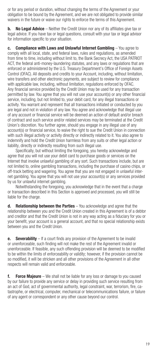or for any period or duration, without changing the terms of the Agreement or your obligation to be bound by the Agreement, and we are not obligated to provide similar waivers in the future or waive our rights to enforce the terms of this Agreement.

**b.** No Legal Advice – Neither the Credit Union nor any of its affiliates give tax or legal advice. If you have tax or legal questions, consult with your tax or legal advisor for information specific to your situation.

c. Compliance with Laws and Unlawful Internet Gambling – You agree to comply with all local, state, and federal laws, rules and regulations, as amended from time to time, including without limit to, the Bank Secrecy Act, the USA PATRIOT ACT, the federal anti-money-laundering statutes, and any laws or regulations that are enforced or administered by the U.S. Treasury Department's Office of Foreign Assets Control (OFAC). All deposits and credits to your Account, including, without limitation, wire transfers and other electronic payments, are subject to review for compliance with applicable law, including, without limitation, regulations enforced by OFAC. Any financial service provided by the Credit Union may be used for any transaction permitted by law. You agree that you will not use your account(s) or any other financial service, including, but not limited to, your debit card, for any illegal transactions or activity. You warrant and represent that all transactions initiated or conducted by you are legal and not in violation of any law. You agree and acknowledge that illegal use of any account or financial service will be deemed an action of default and/or breach of contract and such service and/or related services may be terminated at the Credit Union's discretion. You further agree, should you engage in any illegal use of any account(s) or financial service, to waive the right to sue the Credit Union in connection with such illegal activity or activity directly or indirectly related to it. You also agree to indemnify and hold the Credit Union harmless from any suits or other legal action or liability, directly or indirectly resulting from such illegal use.

 Specifically, but without limiting the foregoing, you hereby acknowledge and agree that you will not use your debit card to purchase goods or services on the Internet that involve unlawful gambling of any sort. Such transactions include, but are not limited to, online gambling transactions, including the purchase of casino chips, or off-track betting and wagering. You agree that you are not engaged in unlawful internet gambling. You agree that you will not use your account(s) or any services provided by us for unlawful internet gambling.

 Notwithstanding the foregoing, you acknowledge that in the event that a charge or transaction described in this Section is approved and processed, you will still be liable for the charge.

d. Relationship between the Parties - You acknowledge and agree that the relationship between you and the Credit Union created in this Agreement is of a debtor and creditor and that the Credit Union is not in any way acting as a fiduciary for you or your benefit, your account is a general account, and that no special relationship exists between you and the Credit Union.

**e.** Severability – If a court finds any provision of the Agreement to be invalid or unenforceable, such finding will not make the rest of the Agreement invalid or unenforceable. If feasible, any such offending provision will be deemed to be modified to be within the limits of enforceability or validity; however, if the provision cannot be so modified, it will be stricken and all other provisions of the Agreement in all other respects will remain valid and enforceable.

f. Force Majeure – We shall not be liable for any loss or damage to you caused by our failure to provide any service or delay in providing such service resulting from an act of God, act of governmental authority, legal constraint, war, terrorism, fire, catastrophe, or electrical, computer, mechanical or telecommunications failure, or failure of any agent or correspondent or any other cause beyond our control.